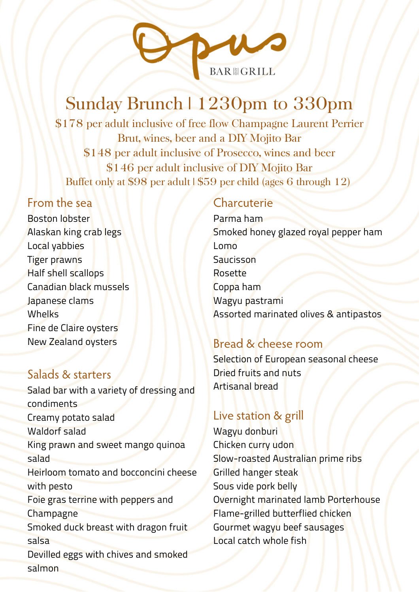

# Sunday Brunch | 1230pm to 330pm

\$178 per adult inclusive of free flow Champagne Laurent Perrier Brut, wines, beer and a DIY Mojito Bar \$148 per adult inclusive of Prosecco, wines and beer \$146 per adult inclusive of DIY Mojito Bar Buffet only at \$98 per adult | \$59 per child (ages 6 through 12)

#### From the sea

Boston lobster Alaskan king crab legs Local yabbies Tiger prawns Half shell scallops Canadian black mussels Japanese clams Whelks Fine de Claire oysters New Zealand oysters

### Salads & starters

Salad bar with a variety of dressing and condiments Creamy potato salad Waldorf salad King prawn and sweet mango quinoa salad Heirloom tomato and bocconcini cheese with pesto Foie gras terrine with peppers and Champagne Smoked duck breast with dragon fruit salsa Devilled eggs with chives and smoked salmon

## **Charcuterie**

Parma ham Smoked honey glazed royal pepper ham Lomo **Saucisson** Rosette Coppa ham Wagyu pastrami Assorted marinated olives & antipastos

### Bread & cheese room

Selection of European seasonal cheese Dried fruits and nuts Artisanal bread

### Live station & grill

Wagyu donburi Chicken curry udon Slow-roasted Australian prime ribs Grilled hanger steak Sous vide pork belly Overnight marinated lamb Porterhouse Flame-grilled butterflied chicken Gourmet wagyu beef sausages Local catch whole fish